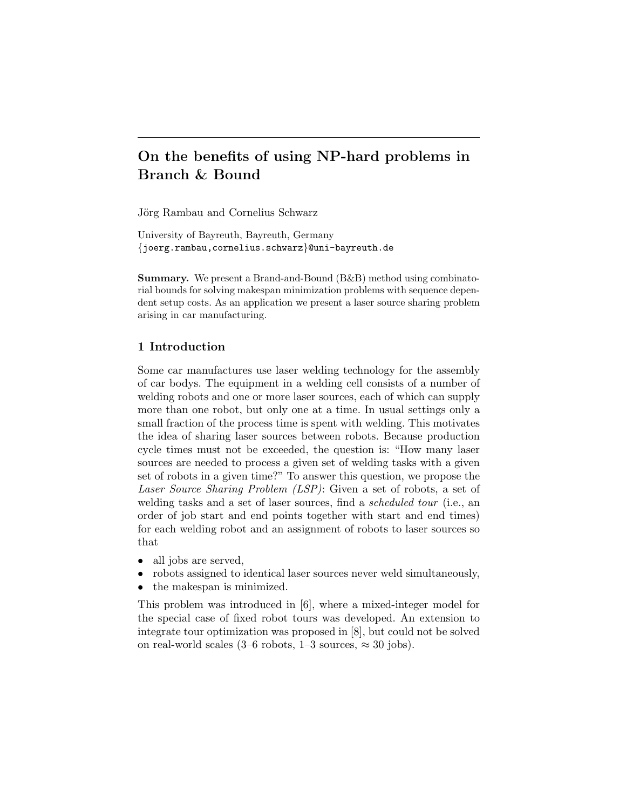# On the benefits of using NP-hard problems in Branch & Bound

Jörg Rambau and Cornelius Schwarz

University of Bayreuth, Bayreuth, Germany {joerg.rambau,cornelius.schwarz}@uni-bayreuth.de

Summary. We present a Brand-and-Bound (B&B) method using combinatorial bounds for solving makespan minimization problems with sequence dependent setup costs. As an application we present a laser source sharing problem arising in car manufacturing.

## 1 Introduction

Some car manufactures use laser welding technology for the assembly of car bodys. The equipment in a welding cell consists of a number of welding robots and one or more laser sources, each of which can supply more than one robot, but only one at a time. In usual settings only a small fraction of the process time is spent with welding. This motivates the idea of sharing laser sources between robots. Because production cycle times must not be exceeded, the question is: "How many laser sources are needed to process a given set of welding tasks with a given set of robots in a given time?" To answer this question, we propose the Laser Source Sharing Problem (LSP): Given a set of robots, a set of welding tasks and a set of laser sources, find a scheduled tour (i.e., an order of job start and end points together with start and end times) for each welding robot and an assignment of robots to laser sources so that

- all jobs are served,
- robots assigned to identical laser sources never weld simultaneously,
- the makespan is minimized.

This problem was introduced in [6], where a mixed-integer model for the special case of fixed robot tours was developed. An extension to integrate tour optimization was proposed in [8], but could not be solved on real-world scales (3–6 robots,  $1-3$  sources,  $\approx 30$  jobs).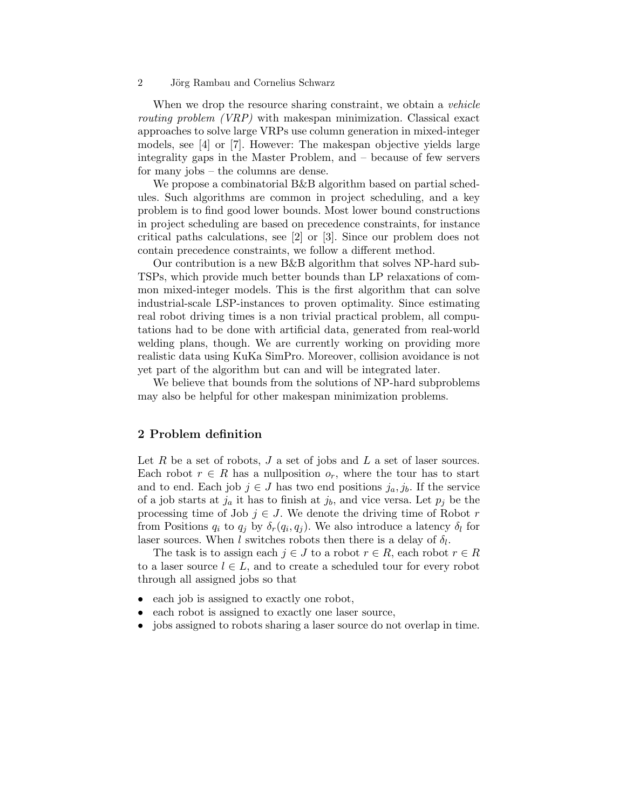When we drop the resource sharing constraint, we obtain a *vehicle* routing problem (VRP) with makespan minimization. Classical exact approaches to solve large VRPs use column generation in mixed-integer models, see [4] or [7]. However: The makespan objective yields large integrality gaps in the Master Problem, and – because of few servers for many jobs – the columns are dense.

We propose a combinatorial B&B algorithm based on partial schedules. Such algorithms are common in project scheduling, and a key problem is to find good lower bounds. Most lower bound constructions in project scheduling are based on precedence constraints, for instance critical paths calculations, see [2] or [3]. Since our problem does not contain precedence constraints, we follow a different method.

Our contribution is a new B&B algorithm that solves NP-hard sub-TSPs, which provide much better bounds than LP relaxations of common mixed-integer models. This is the first algorithm that can solve industrial-scale LSP-instances to proven optimality. Since estimating real robot driving times is a non trivial practical problem, all computations had to be done with artificial data, generated from real-world welding plans, though. We are currently working on providing more realistic data using KuKa SimPro. Moreover, collision avoidance is not yet part of the algorithm but can and will be integrated later.

We believe that bounds from the solutions of NP-hard subproblems may also be helpful for other makespan minimization problems.

### 2 Problem definition

Let R be a set of robots,  $J$  a set of jobs and  $L$  a set of laser sources. Each robot  $r \in R$  has a nullposition  $o_r$ , where the tour has to start and to end. Each job  $j \in J$  has two end positions  $j_a, j_b$ . If the service of a job starts at  $j_a$  it has to finish at  $j_b$ , and vice versa. Let  $p_j$  be the processing time of Job  $j \in J$ . We denote the driving time of Robot r from Positions  $q_i$  to  $q_j$  by  $\delta_r(q_i, q_j)$ . We also introduce a latency  $\delta_l$  for laser sources. When l switches robots then there is a delay of  $\delta_l$ .

The task is to assign each  $j \in J$  to a robot  $r \in R$ , each robot  $r \in R$ to a laser source  $l \in L$ , and to create a scheduled tour for every robot through all assigned jobs so that

- each job is assigned to exactly one robot,
- each robot is assigned to exactly one laser source,
- jobs assigned to robots sharing a laser source do not overlap in time.

<sup>2</sup> Jörg Rambau and Cornelius Schwarz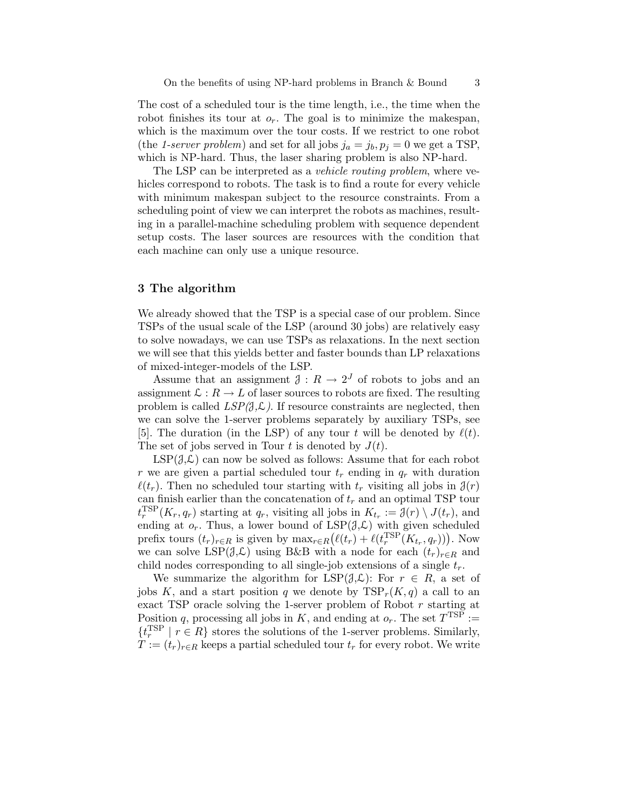The cost of a scheduled tour is the time length, i.e., the time when the robot finishes its tour at  $o_r$ . The goal is to minimize the makespan, which is the maximum over the tour costs. If we restrict to one robot (the 1-server problem) and set for all jobs  $j_a = j_b, p_j = 0$  we get a TSP, which is NP-hard. Thus, the laser sharing problem is also NP-hard.

The LSP can be interpreted as a *vehicle routing problem*, where vehicles correspond to robots. The task is to find a route for every vehicle with minimum makespan subject to the resource constraints. From a scheduling point of view we can interpret the robots as machines, resulting in a parallel-machine scheduling problem with sequence dependent setup costs. The laser sources are resources with the condition that each machine can only use a unique resource.

### 3 The algorithm

We already showed that the TSP is a special case of our problem. Since TSPs of the usual scale of the LSP (around 30 jobs) are relatively easy to solve nowadays, we can use TSPs as relaxations. In the next section we will see that this yields better and faster bounds than LP relaxations of mixed-integer-models of the LSP.

Assume that an assignment  $\mathcal{J}: R \to 2^J$  of robots to jobs and an assignment  $\mathcal{L}: R \to L$  of laser sources to robots are fixed. The resulting problem is called  $LSP(\mathcal{J}, \mathcal{L})$ . If resource constraints are neglected, then we can solve the 1-server problems separately by auxiliary TSPs, see [5]. The duration (in the LSP) of any tour t will be denoted by  $\ell(t)$ . The set of jobs served in Tour t is denoted by  $J(t)$ .

 $LSP(\mathcal{J},\mathcal{L})$  can now be solved as follows: Assume that for each robot r we are given a partial scheduled tour  $t_r$  ending in  $q_r$  with duration  $\ell(t_r)$ . Then no scheduled tour starting with  $t_r$  visiting all jobs in  $\mathcal{J}(r)$ can finish earlier than the concatenation of  $t_r$  and an optimal TSP tour  $t_r^{\text{ISP}}(K_r, q_r)$  starting at  $q_r$ , visiting all jobs in  $K_{t_r} := \mathcal{J}(r) \setminus J(t_r)$ , and ending at  $o_r$ . Thus, a lower bound of  $LSP(\mathcal{J},\mathcal{L})$  with given scheduled prefix tours  $(t_r)_{r \in R}$  is given by  $\max_{r \in R} (\ell(t_r) + \ell(t_r^{\text{ISP}}(K_{t_r}, q_r)))$ . Now we can solve LSP( $\mathcal{J}, \mathcal{L}$ ) using B&B with a node for each  $(t_r)_{r \in R}$  and child nodes corresponding to all single-job extensions of a single  $t_r$ .

We summarize the algorithm for  $LSP(\mathcal{J}, \mathcal{L})$ : For  $r \in R$ , a set of jobs K, and a start position q we denote by  $TSP_r(K,q)$  a call to an exact TSP oracle solving the 1-server problem of Robot  $r$  starting at Position q, processing all jobs in K, and ending at  $o_r$ . The set  $T^{TSP}$  :=  $\{t_r^{\text{TSP}} \mid r \in R\}$  stores the solutions of the 1-server problems. Similarly,  $T := (t_r)_{r \in R}$  keeps a partial scheduled tour  $t_r$  for every robot. We write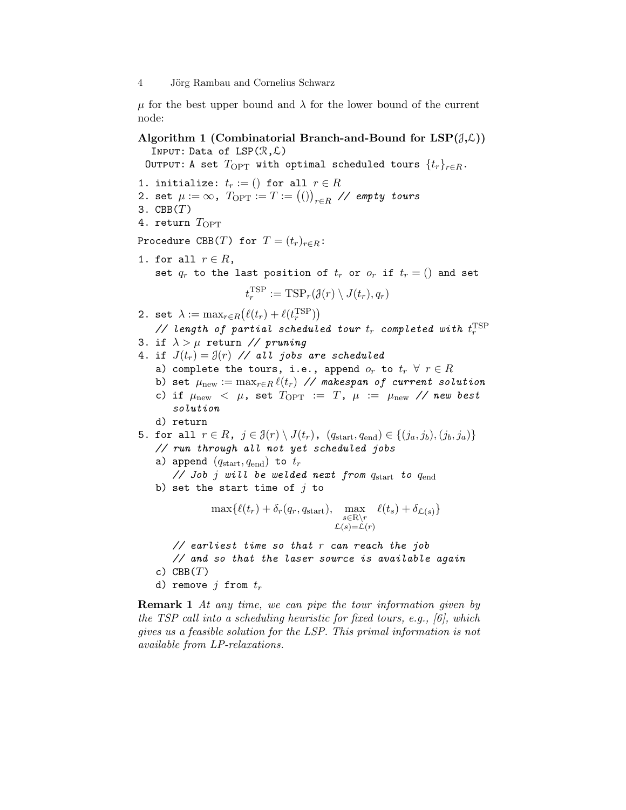4 Jörg Rambau and Cornelius Schwarz

 $\mu$  for the best upper bound and  $\lambda$  for the lower bound of the current node:

Algorithm 1 (Combinatorial Branch-and-Bound for  $LSP(\partial,\mathcal{L})$ ) INPUT: Data of  $LSP(\mathcal{R}, \mathcal{L})$ 

OUTPUT: A set  $T_{\text{OPT}}$  with optimal scheduled tours  $\{t_r\}_{r\in R}$ .

1. initialize:  $t_r := ()$  for all  $r \in R$ 2. set  $\mu:=\infty$ ,  $T_{\mathrm{OPT}}:=T:=\big(()\big)_{r\in R}$  // empty tours 3.  $CBB(T)$ 4. return  $T_{\text{OPT}}$ Procedure CBB(T) for  $T = (t_r)_{r \in R}$ : 1. for all  $r \in R$ , set  $q_r$  to the last position of  $t_r$  or  $o_r$  if  $t_r = ()$  and set  $t_r^{\text{TSP}} := \text{TSP}_r(\mathcal{J}(r) \setminus J(t_r), q_r)$ 2. set  $\lambda := \max_{r \in R} (\ell(t_r) + \ell(t_r^{\text{TSP}}))$ // length of partial scheduled tour  $t_r$  completed with  $t_r^{\rm TSP}$ 3. if  $\lambda > \mu$  return // pruning 4. if  $J(t_r) = \mathcal{J}(r)$  // all jobs are scheduled a) complete the tours, i.e., append  $o_r$  to  $t_r \forall r \in R$ b) set  $\mu_{\text{new}} := \max_{r \in R} \ell(t_r)$  // makespan of current solution c) if  $\mu_{\text{new}} < \mu$ , set  $T_{\text{OPT}} := T$ ,  $\mu := \mu_{\text{new}}$  // new best solution d) return 5. for all  $r \in R$ ,  $j \in \mathcal{J}(r) \setminus J(t_r)$ ,  $(q_{\text{start}}, q_{\text{end}}) \in \{(j_a, j_b), (j_b, j_a)\}\$ // run through all not yet scheduled jobs a) append  $(q_{\text{start}}, q_{\text{end}})$  to  $t_r$ // Job  $j$  will be welded next from  $q_{\text{start}}$  to  $q_{\text{end}}$ b) set the start time of  $j$  to  $\max\{\ell(t_r) + \delta_r(q_r, q_{\text{start}}), \max_{s \in \mathbb{R}\setminus r}\}$  $\mathcal{L}(s) = \mathcal{L}(r)$  $\ell(t_s) + \delta_{\mathcal{L}(s)}\}$ 

// earliest time so that r can reach the job // and so that the laser source is available again c)  $CBB(T)$ d) remove j from  $t_r$ 

Remark 1 At any time, we can pipe the tour information given by the TSP call into a scheduling heuristic for fixed tours, e.g., [6], which gives us a feasible solution for the LSP. This primal information is not available from LP-relaxations.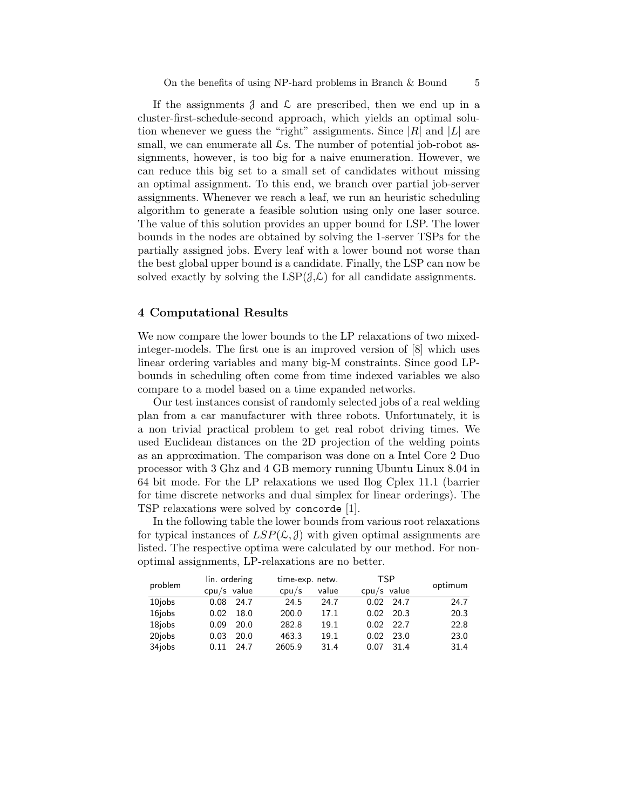If the assignments  $\beta$  and  $\beta$  are prescribed, then we end up in a cluster-first-schedule-second approach, which yields an optimal solution whenever we guess the "right" assignments. Since  $|R|$  and  $|L|$  are small, we can enumerate all  $\mathcal{L}$ s. The number of potential job-robot assignments, however, is too big for a naive enumeration. However, we can reduce this big set to a small set of candidates without missing an optimal assignment. To this end, we branch over partial job-server assignments. Whenever we reach a leaf, we run an heuristic scheduling algorithm to generate a feasible solution using only one laser source. The value of this solution provides an upper bound for LSP. The lower bounds in the nodes are obtained by solving the 1-server TSPs for the partially assigned jobs. Every leaf with a lower bound not worse than the best global upper bound is a candidate. Finally, the LSP can now be solved exactly by solving the  $LSP(\mathcal{J},\mathcal{L})$  for all candidate assignments.

#### 4 Computational Results

We now compare the lower bounds to the LP relaxations of two mixedinteger-models. The first one is an improved version of [8] which uses linear ordering variables and many big-M constraints. Since good LPbounds in scheduling often come from time indexed variables we also compare to a model based on a time expanded networks.

Our test instances consist of randomly selected jobs of a real welding plan from a car manufacturer with three robots. Unfortunately, it is a non trivial practical problem to get real robot driving times. We used Euclidean distances on the 2D projection of the welding points as an approximation. The comparison was done on a Intel Core 2 Duo processor with 3 Ghz and 4 GB memory running Ubuntu Linux 8.04 in 64 bit mode. For the LP relaxations we used Ilog Cplex 11.1 (barrier for time discrete networks and dual simplex for linear orderings). The TSP relaxations were solved by concorde [1].

In the following table the lower bounds from various root relaxations for typical instances of  $LSP(\mathcal{L}, \mathcal{J})$  with given optimal assignments are listed. The respective optima were calculated by our method. For nonoptimal assignments, LP-relaxations are no better.

| problem             | lin. ordering |      | time-exp. netw. |       | <b>TSP</b>    |      |         |
|---------------------|---------------|------|-----------------|-------|---------------|------|---------|
|                     | $cpu/s$ value |      | cpu/s           | value | $cpu/s$ value |      | optimum |
| 10 <sub>i</sub> obs | 0.08          | 24.7 | 24.5            | 24.7  | 0.02          | 24.7 | 24.7    |
| 16jobs              | 0.02          | 18.0 | 200.0           | 17.1  | 0.02          | 20.3 | 20.3    |
| 18 <sub>i</sub> obs | 0.09          | 20.0 | 282.8           | 19.1  | 0.02          | 22.7 | 22.8    |
| 20 <sub>i</sub> obs | 0.03          | 20.0 | 463.3           | 19.1  | 0.02          | 23.0 | 23.0    |
| 34jobs              | 0.11          | 24.7 | 2605.9          | 31.4  | 0.07          | 31.4 | 31.4    |